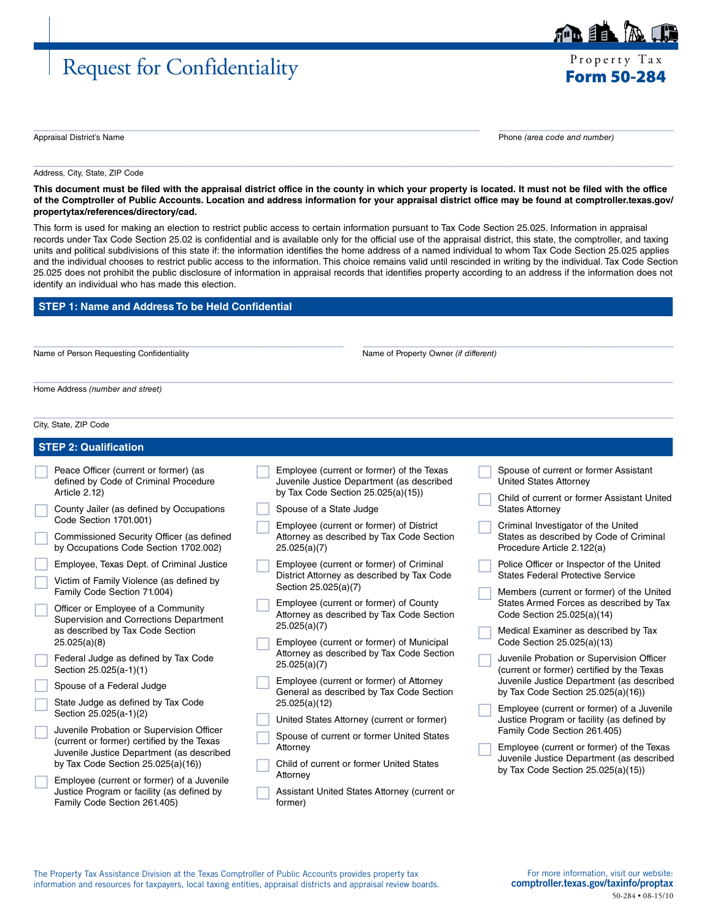## Request for Confidentiality Property Tax

É EN

Appraisal District's Name Phone *(area code and number)*

Address, City, State, ZIP Code

**This document must be filed with the appraisal district office in the county in which your property is located. It must not be filed with the office of the Comptroller of Public Accounts. Location and address information for your appraisal district office may be found at [comptroller.texas.gov/](http://comptroller.texas.gov/propertytax/references/directory/cad) [propertytax/references/directory/cad](http://comptroller.texas.gov/propertytax/references/directory/cad).**

 $\_$  ,  $\_$  ,  $\_$  ,  $\_$  ,  $\_$  ,  $\_$  ,  $\_$  ,  $\_$  ,  $\_$  ,  $\_$  ,  $\_$  ,  $\_$  ,  $\_$  ,  $\_$  ,  $\_$  ,  $\_$  ,  $\_$  ,  $\_$  ,  $\_$  ,  $\_$  ,  $\_$  ,  $\_$  ,  $\_$  ,  $\_$  ,  $\_$  ,  $\_$  ,  $\_$  ,  $\_$  ,  $\_$  ,  $\_$  ,  $\_$  ,  $\_$  ,  $\_$  ,  $\_$  ,  $\_$  ,  $\_$  ,  $\_$  ,

 $\_$  , and the set of the set of the set of the set of the set of the set of the set of the set of the set of the set of the set of the set of the set of the set of the set of the set of the set of the set of the set of th

This form is used for making an election to restrict public access to certain information pursuant to Tax Code Section 25.025. Information in appraisal records under Tax Code Section 25.02 is confidential and is available only for the official use of the appraisal district, this state, the comptroller, and taxing units and political subdivisions of this state if: the information identifies the home address of a named individual to whom Tax Code Section 25.025 applies and the individual chooses to restrict public access to the information. This choice remains valid until rescinded in writing by the individual. Tax Code Section 25.025 does not prohibit the public disclosure of information in appraisal records that identifies property according to an address if the information does not identify an individual who has made this election.

 $\_$  ,  $\_$  ,  $\_$  ,  $\_$  ,  $\_$  ,  $\_$  ,  $\_$  ,  $\_$  ,  $\_$  ,  $\_$  ,  $\_$  ,  $\_$  ,  $\_$  ,  $\_$  ,  $\_$  ,  $\_$  ,  $\_$  ,  $\_$  ,  $\_$  ,  $\_$  ,  $\_$  ,  $\_$  ,  $\_$  ,  $\_$  ,  $\_$  ,  $\_$  ,  $\_$  ,  $\_$  ,  $\_$  ,  $\_$  ,  $\_$  ,  $\_$  ,  $\_$  ,  $\_$  ,  $\_$  ,  $\_$  ,  $\_$  ,

 $\_$  , and the set of the set of the set of the set of the set of the set of the set of the set of the set of the set of the set of the set of the set of the set of the set of the set of the set of the set of the set of th

 $\_$  ,  $\_$  ,  $\_$  ,  $\_$  ,  $\_$  ,  $\_$  ,  $\_$  ,  $\_$  ,  $\_$  ,  $\_$  ,  $\_$  ,  $\_$  ,  $\_$  ,  $\_$  ,  $\_$  ,  $\_$  ,  $\_$  ,  $\_$  ,  $\_$  ,  $\_$  ,  $\_$  ,  $\_$  ,  $\_$  ,  $\_$  ,  $\_$  ,  $\_$  ,  $\_$  ,  $\_$  ,  $\_$  ,  $\_$  ,  $\_$  ,  $\_$  ,  $\_$  ,  $\_$  ,  $\_$  ,  $\_$  ,  $\_$  ,

### **STEP 1: Name and Address To be Held Confidential**

Name of Person Requesting Confidentiality Name of Property Owner *(if different)* Name of Property Owner *(if different)* 

Home Address *(number and street)*

City, State, ZIP Code

| <b>STEP 2: Qualification</b>                                                                                             |                                                                                                                              |                                                                                                              |  |
|--------------------------------------------------------------------------------------------------------------------------|------------------------------------------------------------------------------------------------------------------------------|--------------------------------------------------------------------------------------------------------------|--|
| Peace Officer (current or former) (as<br>defined by Code of Criminal Procedure<br>Article 2.12)                          | Employee (current or former) of the Texas<br>Juvenile Justice Department (as described<br>by Tax Code Section 25.025(a)(15)) | Spouse of current or former Assistant<br><b>United States Attorney</b>                                       |  |
| County Jailer (as defined by Occupations<br>Code Section 1701.001)                                                       | Spouse of a State Judge                                                                                                      | Child of current or former Assistant United<br><b>States Attorney</b>                                        |  |
| Commissioned Security Officer (as defined<br>by Occupations Code Section 1702.002)                                       | Employee (current or former) of District<br>Attorney as described by Tax Code Section<br>25.025(a)(7)                        | Criminal Investigator of the United<br>States as described by Code of Criminal<br>Procedure Article 2.122(a) |  |
| Employee, Texas Dept. of Criminal Justice                                                                                | Employee (current or former) of Criminal                                                                                     | Police Officer or Inspector of the United                                                                    |  |
| Victim of Family Violence (as defined by<br>Family Code Section 71.004)                                                  | District Attorney as described by Tax Code<br>Section 25.025(a)(7)                                                           | <b>States Federal Protective Service</b><br>Members (current or former) of the United                        |  |
| Officer or Employee of a Community<br>Supervision and Corrections Department                                             | Employee (current or former) of County<br>Attorney as described by Tax Code Section                                          | States Armed Forces as described by Tax<br>Code Section 25.025(a)(14)                                        |  |
| as described by Tax Code Section<br>25.025(a)(8)                                                                         | 25.025(a)(7)<br>Employee (current or former) of Municipal                                                                    | Medical Examiner as described by Tax<br>Code Section 25.025(a)(13)                                           |  |
| Federal Judge as defined by Tax Code<br>Section 25.025(a-1)(1)                                                           | Attorney as described by Tax Code Section<br>25.025(a)(7)                                                                    | Juvenile Probation or Supervision Officer<br>(current or former) certified by the Texas                      |  |
| Spouse of a Federal Judge                                                                                                | Employee (current or former) of Attorney<br>General as described by Tax Code Section                                         | Juvenile Justice Department (as described<br>by Tax Code Section $25.025(a)(16)$                             |  |
| State Judge as defined by Tax Code<br>Section 25.025(a-1)(2)                                                             | 25.025(a)(12)                                                                                                                | Employee (current or former) of a Juvenile                                                                   |  |
| Juvenile Probation or Supervision Officer                                                                                | United States Attorney (current or former)<br>Spouse of current or former United States                                      | Justice Program or facility (as defined by<br>Family Code Section 261.405)                                   |  |
| (current or former) certified by the Texas<br>Juvenile Justice Department (as described                                  | Attorney                                                                                                                     | Employee (current or former) of the Texas                                                                    |  |
| by Tax Code Section $25.025(a)(16)$                                                                                      | Child of current or former United States                                                                                     | Juvenile Justice Department (as described<br>by Tax Code Section $25.025(a)(15)$                             |  |
| Employee (current or former) of a Juvenile<br>Justice Program or facility (as defined by<br>Family Code Section 261.405) | Attorney<br>Assistant United States Attorney (current or<br>former)                                                          |                                                                                                              |  |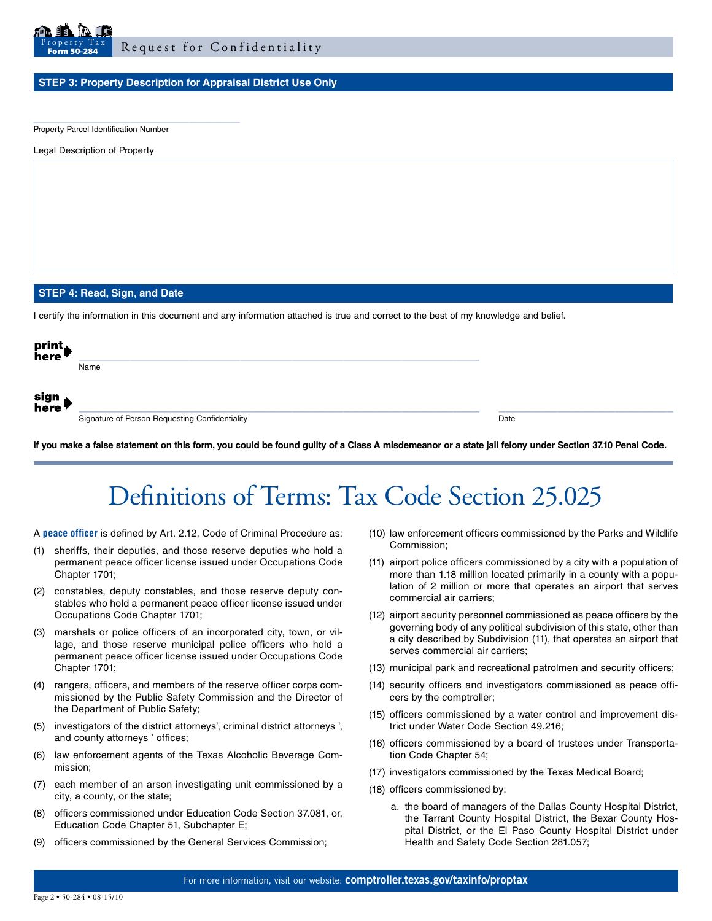

#### **STEP 3: Property Description for Appraisal District Use Only**

Property Parcel Identification Number

\_\_\_\_\_\_\_\_\_\_\_\_\_\_\_\_\_\_\_\_\_\_\_\_\_\_\_\_\_\_\_\_

Legal Description of Property

#### **STEP 4: Read, Sign, and Date**

I certify the information in this document and any information attached is true and correct to the best of my knowledge and belief.

| print<br>here  |                                                |      |
|----------------|------------------------------------------------|------|
|                | Name                                           |      |
|                |                                                |      |
| sign<br>here l |                                                |      |
|                | Signature of Person Requesting Confidentiality | Date |
|                |                                                |      |

**If you make a false statement on this form, you could be found guilty of a Class A misdemeanor or a state jail felony under Section 37.10 Penal Code.**

# Definitions of Terms: Tax Code Section 25.025

A **peace officer** is defined by Art. 2.12, Code of Criminal Procedure as:

- (1) sheriffs, their deputies, and those reserve deputies who hold a permanent peace officer license issued under Occupations Code Chapter 1701;
- (2) constables, deputy constables, and those reserve deputy constables who hold a permanent peace officer license issued under Occupations Code Chapter 1701;
- (3) marshals or police officers of an incorporated city, town, or village, and those reserve municipal police officers who hold a permanent peace officer license issued under Occupations Code Chapter 1701;
- (4) rangers, officers, and members of the reserve officer corps commissioned by the Public Safety Commission and the Director of the Department of Public Safety;
- (5) investigators of the district attorneys', criminal district attorneys ', and county attorneys ' offices;
- (6) law enforcement agents of the Texas Alcoholic Beverage Commission;
- (7) each member of an arson investigating unit commissioned by a city, a county, or the state;
- (8) officers commissioned under Education Code Section 37.081, or, Education Code Chapter 51, Subchapter E;
- (9) officers commissioned by the General Services Commission;
- (10) law enforcement officers commissioned by the Parks and Wildlife Commission;
- (11) airport police officers commissioned by a city with a population of more than 1.18 million located primarily in a county with a population of 2 million or more that operates an airport that serves commercial air carriers;
- (12) airport security personnel commissioned as peace officers by the governing body of any political subdivision of this state, other than a city described by Subdivision (11), that operates an airport that serves commercial air carriers;
- (13) municipal park and recreational patrolmen and security officers;
- (14) security officers and investigators commissioned as peace officers by the comptroller;
- (15) officers commissioned by a water control and improvement district under Water Code Section 49.216;
- (16) officers commissioned by a board of trustees under Transportation Code Chapter 54;
- (17) investigators commissioned by the Texas Medical Board;
- (18) officers commissioned by:
	- a. the board of managers of the Dallas County Hospital District, the Tarrant County Hospital District, the Bexar County Hospital District, or the El Paso County Hospital District under Health and Safety Code Section 281.057;